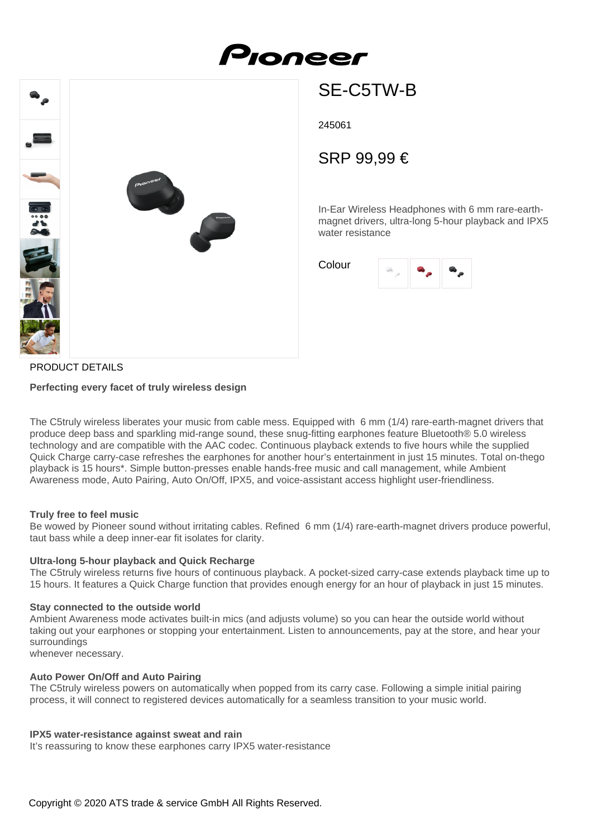



# SE-C5TW-B

245061

## SRP 99,99 €

In-Ear Wireless Headphones with 6 mm rare-earthmagnet drivers, ultra-long 5-hour playback and IPX5 water resistance

Colour



### PRODUCT DETAILS

#### **Perfecting every facet of truly wireless design**

The C5truly wireless liberates your music from cable mess. Equipped with 6 mm (1/4) rare-earth-magnet drivers that produce deep bass and sparkling mid-range sound, these snug-fitting earphones feature Bluetooth® 5.0 wireless technology and are compatible with the AAC codec. Continuous playback extends to five hours while the supplied Quick Charge carry-case refreshes the earphones for another hour's entertainment in just 15 minutes. Total on-thego playback is 15 hours\*. Simple button-presses enable hands-free music and call management, while Ambient Awareness mode, Auto Pairing, Auto On/Off, IPX5, and voice-assistant access highlight user-friendliness.

#### **Truly free to feel music**

Be wowed by Pioneer sound without irritating cables. Refined 6 mm (1/4) rare-earth-magnet drivers produce powerful, taut bass while a deep inner-ear fit isolates for clarity.

#### **Ultra-long 5-hour playback and Quick Recharge**

The C5truly wireless returns five hours of continuous playback. A pocket-sized carry-case extends playback time up to 15 hours. It features a Quick Charge function that provides enough energy for an hour of playback in just 15 minutes.

#### **Stay connected to the outside world**

Ambient Awareness mode activates built-in mics (and adjusts volume) so you can hear the outside world without taking out your earphones or stopping your entertainment. Listen to announcements, pay at the store, and hear your surroundings

whenever necessary.

#### **Auto Power On/Off and Auto Pairing**

The C5truly wireless powers on automatically when popped from its carry case. Following a simple initial pairing process, it will connect to registered devices automatically for a seamless transition to your music world.

#### **IPX5 water-resistance against sweat and rain**

It's reassuring to know these earphones carry IPX5 water-resistance